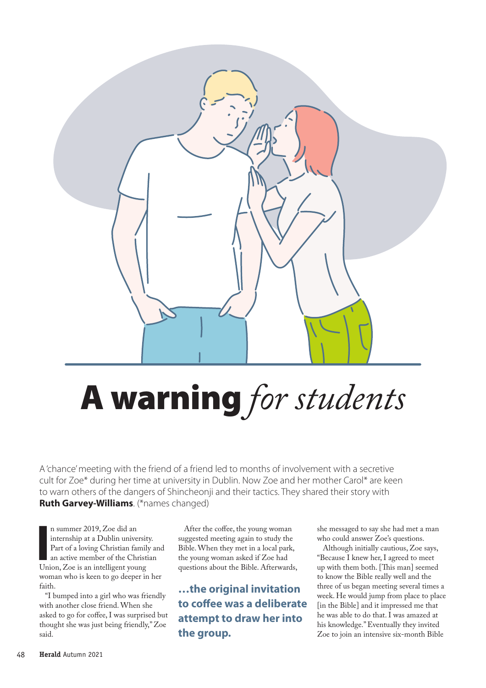

## A warning *for students*

A 'chance' meeting with the friend of a friend led to months of involvement with a secretive cult for Zoe\* during her time at university in Dublin. Now Zoe and her mother Carol\* are keen to warn others of the dangers of Shincheonji and their tactics. They shared their story with **Ruth Garvey-Williams**. (\*names changed)

In summer 2019, Zoe did an internship at a Dublin universit<br>Part of a loving Christian family<br>an active member of the Christi<br>Union, Zoe is an intelligent young n summer 2019, Zoe did an internship at a Dublin university. Part of a loving Christian family and an active member of the Christian woman who is keen to go deeper in her faith.

"I bumped into a girl who was friendly with another close friend. When she asked to go for coffee, I was surprised but thought she was just being friendly," Zoe said.

After the coffee, the young woman suggested meeting again to study the Bible. When they met in a local park, the young woman asked if Zoe had questions about the Bible. Afterwards,

**…the original invitation to co!ee was a deliberate attempt to draw her into the group.** 

she messaged to say she had met a man who could answer Zoe's questions.

Although initially cautious, Zoe says, "Because I knew her, I agreed to meet up with them both. [This man] seemed to know the Bible really well and the three of us began meeting several times a week. He would jump from place to place [in the Bible] and it impressed me that he was able to do that. I was amazed at his knowledge." Eventually they invited Zoe to join an intensive six-month Bible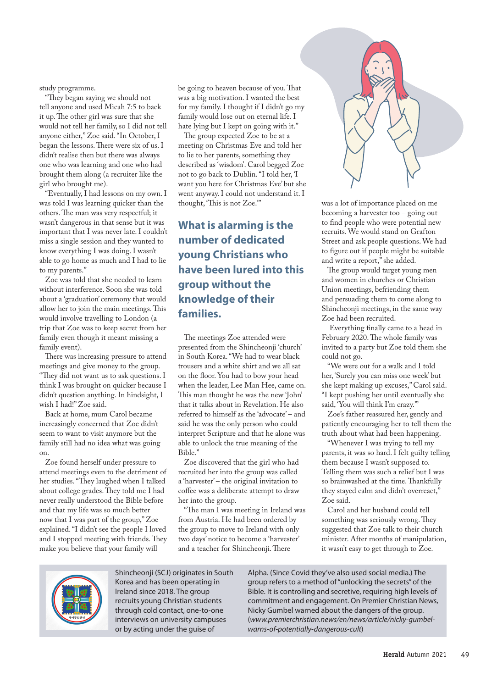study programme.

"They began saying we should not tell anyone and used Micah 7:5 to back it up. The other girl was sure that she would not tell her family, so I did not tell anyone either," Zoe said. "In October, I began the lessons. There were six of us. I didn't realise then but there was always one who was learning and one who had brought them along (a recruiter like the girl who brought me).

"Eventually, I had lessons on my own. I was told I was learning quicker than the others. The man was very respectful; it wasn't dangerous in that sense but it was important that I was never late. I couldn't miss a single session and they wanted to know everything I was doing. I wasn't able to go home as much and I had to lie to my parents."

Zoe was told that she needed to learn without interference. Soon she was told about a 'graduation' ceremony that would allow her to join the main meetings. This would involve travelling to London (a trip that Zoe was to keep secret from her family even though it meant missing a family event).

There was increasing pressure to attend meetings and give money to the group. "They did not want us to ask questions. I think I was brought on quicker because I didn't question anything. In hindsight, I wish I had!" Zoe said.

Back at home, mum Carol became increasingly concerned that Zoe didn't seem to want to visit anymore but the family still had no idea what was going on.

Zoe found herself under pressure to attend meetings even to the detriment of her studies. "They laughed when I talked about college grades. They told me I had never really understood the Bible before and that my life was so much better now that I was part of the group," Zoe explained. "I didn't see the people I loved and I stopped meeting with friends. They make you believe that your family will

be going to heaven because of you. That was a big motivation. I wanted the best for my family. I thought if I didn't go my family would lose out on eternal life. I hate lying but I kept on going with it."

The group expected Zoe to be at a meeting on Christmas Eve and told her to lie to her parents, something they described as 'wisdom'. Carol begged Zoe not to go back to Dublin. "I told her, 'I want you here for Christmas Eve' but she went anyway. I could not understand it. I thought, 'This is not Zoe.""

## **What is alarming is the number of dedicated young Christians who have been lured into this group without the knowledge of their families.**

The meetings Zoe attended were presented from the Shincheonji 'church' in South Korea. "We had to wear black trousers and a white shirt and we all sat on the #oor. You had to bow your head when the leader, Lee Man Hee, came on. This man thought he was the new 'John' that it talks about in Revelation. He also referred to himself as the 'advocate' – and said he was the only person who could interpret Scripture and that he alone was able to unlock the true meaning of the Bible."

Zoe discovered that the girl who had recruited her into the group was called a 'harvester' – the original invitation to coffee was a deliberate attempt to draw her into the group.

"The man I was meeting in Ireland was from Austria. He had been ordered by the group to move to Ireland with only two days' notice to become a 'harvester' and a teacher for Shincheonji. There



was a lot of importance placed on me becoming a harvester too – going out to find people who were potential new recruits. We would stand on Grafton Street and ask people questions. We had to figure out if people might be suitable and write a report," she added.

The group would target young men and women in churches or Christian Union meetings, befriending them and persuading them to come along to Shincheonji meetings, in the same way Zoe had been recruited.

Everything finally came to a head in February 2020. The whole family was invited to a party but Zoe told them she could not go.

"We were out for a walk and I told her, 'Surely you can miss one week' but she kept making up excuses," Carol said. "I kept pushing her until eventually she said, 'You will think I'm crazy.'"

Zoe's father reassured her, gently and patiently encouraging her to tell them the truth about what had been happening.

"Whenever I was trying to tell my parents, it was so hard. I felt guilty telling them because I wasn't supposed to. Telling them was such a relief but I was so brainwashed at the time. Thankfully they stayed calm and didn't overreact," Zoe said.

Carol and her husband could tell something was seriously wrong. They suggested that Zoe talk to their church minister. After months of manipulation, it wasn't easy to get through to Zoe.



Shincheonji (SCJ) originates in South Korea and has been operating in Ireland since 2018. The group recruits young Christian students through cold contact, one-to-one interviews on university campuses or by acting under the guise of

Alpha. (Since Covid they've also used social media.) The group refers to a method of "unlocking the secrets" of the Bible. It is controlling and secretive, requiring high levels of commitment and engagement. On Premier Christian News, Nicky Gumbel warned about the dangers of the group. (*www.premierchristian.news/en/news/article/nicky-gumbelwarns-of-potentially-dangerous-cult*)